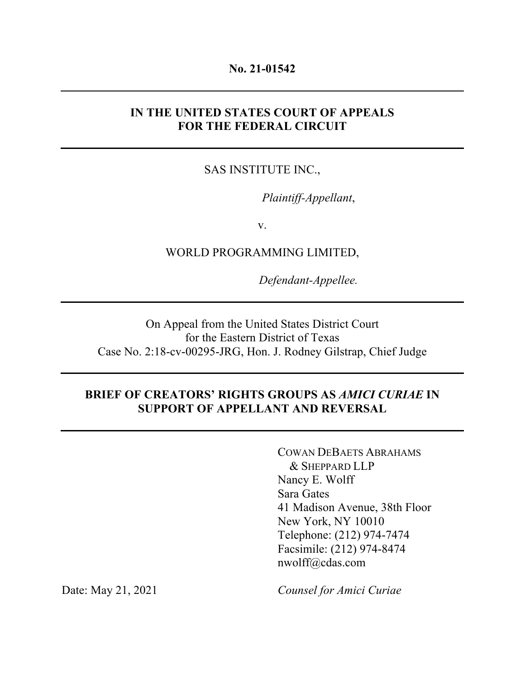#### **No. 21-01542**

# **IN THE UNITED STATES COURT OF APPEALS FOR THE FEDERAL CIRCUIT**

# SAS INSTITUTE INC.,

*Plaintiff-Appellant*,

v.

WORLD PROGRAMMING LIMITED,

*Defendant-Appellee.*

On Appeal from the United States District Court for the Eastern District of Texas Case No. 2:18-cv-00295-JRG, Hon. J. Rodney Gilstrap, Chief Judge

## **BRIEF OF CREATORS' RIGHTS GROUPS AS** *AMICI CURIAE* **IN SUPPORT OF APPELLANT AND REVERSAL**

COWAN DEBAETS ABRAHAMS & SHEPPARD LLP Nancy E. Wolff Sara Gates 41 Madison Avenue, 38th Floor New York, NY 10010 Telephone: (212) 974-7474 Facsimile: (212) 974-8474 nwolff@cdas.com

Date: May 21, 2021 *Counsel for Amici Curiae*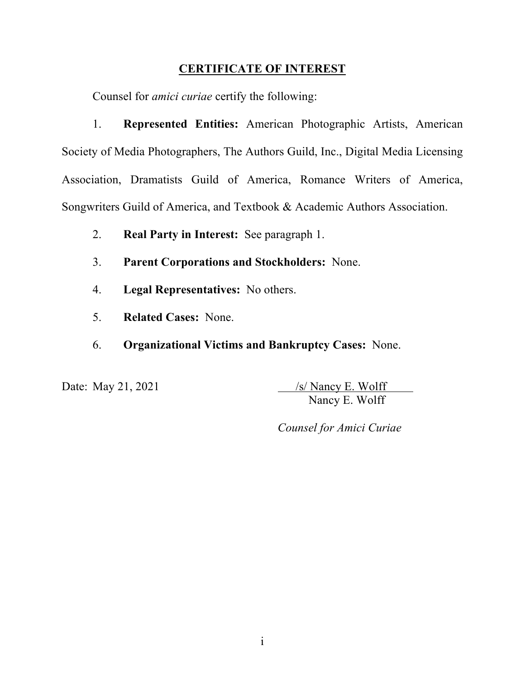# **CERTIFICATE OF INTEREST**

Counsel for *amici curiae* certify the following:

1. **Represented Entities:** American Photographic Artists, American Society of Media Photographers, The Authors Guild, Inc., Digital Media Licensing Association, Dramatists Guild of America, Romance Writers of America, Songwriters Guild of America, and Textbook & Academic Authors Association.

- 2. **Real Party in Interest:** See paragraph 1.
- 3. **Parent Corporations and Stockholders:** None.
- 4. **Legal Representatives:** No others.
- 5. **Related Cases:** None.
- 6. **Organizational Victims and Bankruptcy Cases:** None.

Date: May 21, 2021  $\sqrt{s}$  Nancy E. Wolff Nancy E. Wolff

*Counsel for Amici Curiae*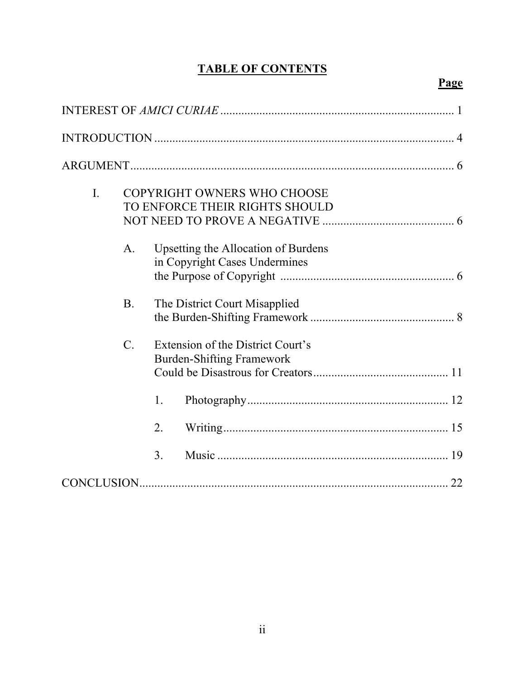# **TABLE OF CONTENTS**

# **Page**

| $\mathbf{I}$ . | COPYRIGHT OWNERS WHO CHOOSE<br>TO ENFORCE THEIR RIGHTS SHOULD |                                                                       |                                                                      |  |  |
|----------------|---------------------------------------------------------------|-----------------------------------------------------------------------|----------------------------------------------------------------------|--|--|
|                | A.                                                            |                                                                       | Upsetting the Allocation of Burdens<br>in Copyright Cases Undermines |  |  |
|                | <b>B.</b>                                                     |                                                                       | The District Court Misapplied                                        |  |  |
|                | $\mathcal{C}$ .                                               | Extension of the District Court's<br><b>Burden-Shifting Framework</b> |                                                                      |  |  |
|                |                                                               | 1.                                                                    |                                                                      |  |  |
|                |                                                               | 2.                                                                    |                                                                      |  |  |
|                |                                                               | 3.                                                                    |                                                                      |  |  |
|                |                                                               |                                                                       |                                                                      |  |  |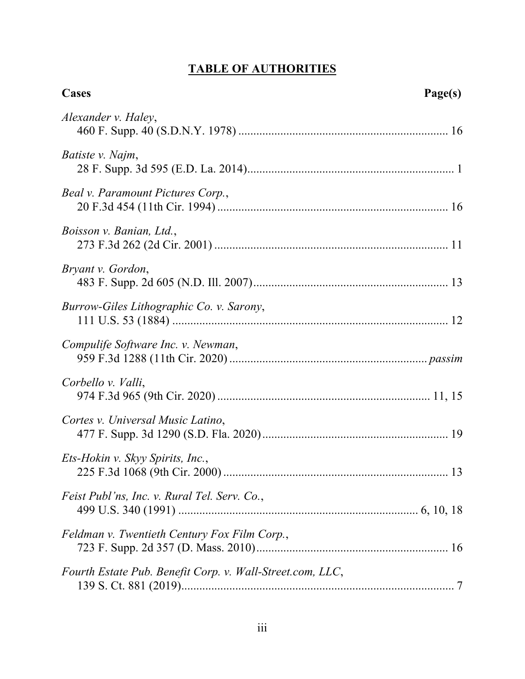# **TABLE OF AUTHORITIES**

| Cases                                                     | Page(s) |
|-----------------------------------------------------------|---------|
| Alexander v. Haley,                                       |         |
| Batiste v. Najm,                                          |         |
| Beal v. Paramount Pictures Corp.,                         |         |
| Boisson v. Banian, Ltd.,                                  |         |
| Bryant v. Gordon,                                         |         |
| Burrow-Giles Lithographic Co. v. Sarony,                  |         |
| Compulife Software Inc. v. Newman,                        |         |
| Corbello v. Valli,                                        |         |
| Cortes v. Universal Music Latino,                         |         |
| Ets-Hokin v. Skyy Spirits, Inc.,                          |         |
| Feist Publ'ns, Inc. v. Rural Tel. Serv. Co.,              |         |
| Feldman v. Twentieth Century Fox Film Corp.,              |         |
| Fourth Estate Pub. Benefit Corp. v. Wall-Street.com, LLC, |         |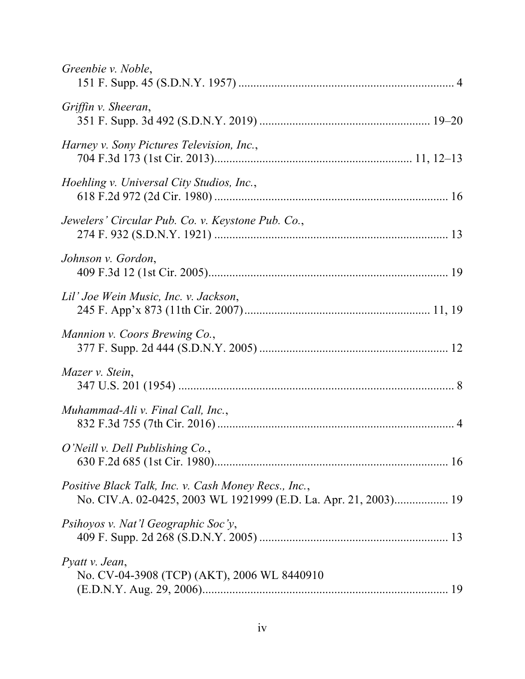| Greenbie v. Noble,                                                                                                      |
|-------------------------------------------------------------------------------------------------------------------------|
| Griffin v. Sheeran,                                                                                                     |
| Harney v. Sony Pictures Television, Inc.,                                                                               |
| Hoehling v. Universal City Studios, Inc.,                                                                               |
| Jewelers' Circular Pub. Co. v. Keystone Pub. Co.,                                                                       |
| Johnson v. Gordon,                                                                                                      |
| Lil' Joe Wein Music, Inc. v. Jackson,                                                                                   |
| Mannion v. Coors Brewing Co.,                                                                                           |
| Mazer v. Stein,                                                                                                         |
| Muhammad-Ali v. Final Call, Inc.,                                                                                       |
| O'Neill v. Dell Publishing Co.,                                                                                         |
| Positive Black Talk, Inc. v. Cash Money Recs., Inc.,<br>No. CIV.A. 02-0425, 2003 WL 1921999 (E.D. La. Apr. 21, 2003) 19 |
| Psihoyos v. Nat'l Geographic Soc'y,                                                                                     |
| Pyatt v. Jean,<br>No. CV-04-3908 (TCP) (AKT), 2006 WL 8440910                                                           |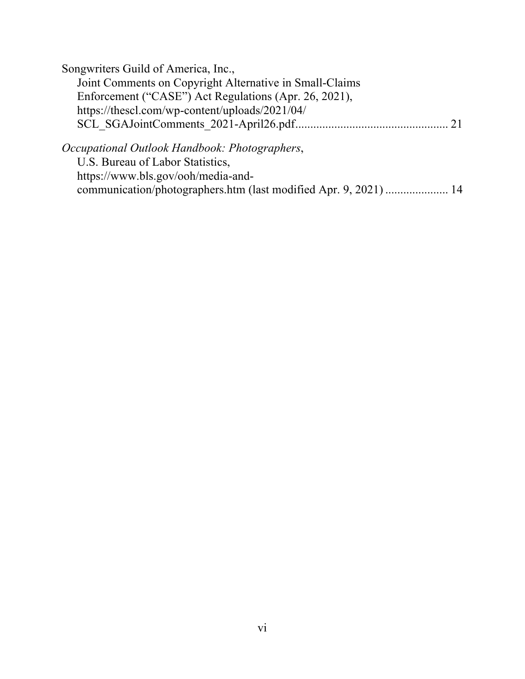| Songwriters Guild of America, Inc.,                                                    |  |
|----------------------------------------------------------------------------------------|--|
| Joint Comments on Copyright Alternative in Small-Claims                                |  |
| Enforcement ("CASE") Act Regulations (Apr. 26, 2021),                                  |  |
| https://thescl.com/wp-content/uploads/2021/04/                                         |  |
|                                                                                        |  |
| Occupational Outlook Handbook: Photographers,<br><b>IIS</b> Bureau of Labor Statistics |  |

U.S. Bureau of Labor Statistics, https://www.bls.gov/ooh/media-andcommunication/photographers.htm (last modified Apr. 9, 2021) ..................... 14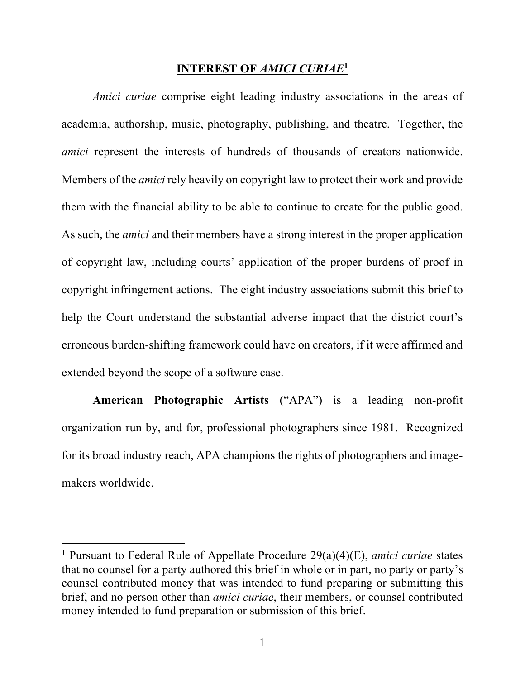### **INTEREST OF** *AMICI CURIAE***<sup>1</sup>**

*Amici curiae* comprise eight leading industry associations in the areas of academia, authorship, music, photography, publishing, and theatre. Together, the *amici* represent the interests of hundreds of thousands of creators nationwide. Members of the *amici* rely heavily on copyright law to protect their work and provide them with the financial ability to be able to continue to create for the public good. As such, the *amici* and their members have a strong interest in the proper application of copyright law, including courts' application of the proper burdens of proof in copyright infringement actions. The eight industry associations submit this brief to help the Court understand the substantial adverse impact that the district court's erroneous burden-shifting framework could have on creators, if it were affirmed and extended beyond the scope of a software case.

**American Photographic Artists** ("APA") is a leading non-profit organization run by, and for, professional photographers since 1981. Recognized for its broad industry reach, APA champions the rights of photographers and imagemakers worldwide.

<sup>1</sup> Pursuant to Federal Rule of Appellate Procedure 29(a)(4)(E), *amici curiae* states that no counsel for a party authored this brief in whole or in part, no party or party's counsel contributed money that was intended to fund preparing or submitting this brief, and no person other than *amici curiae*, their members, or counsel contributed money intended to fund preparation or submission of this brief.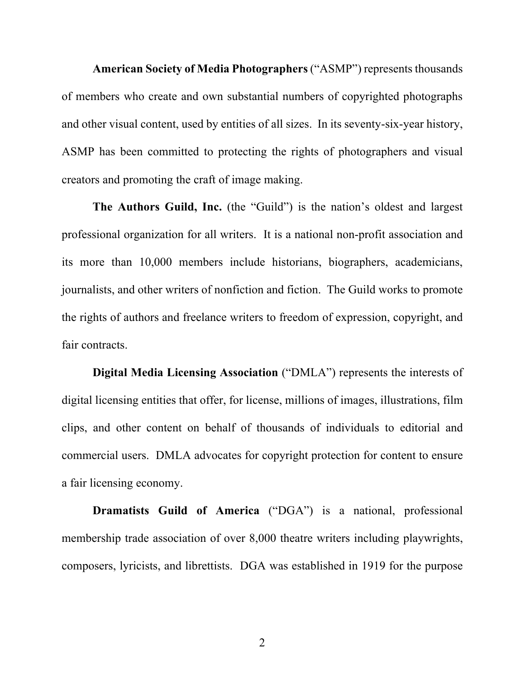**American Society of Media Photographers** ("ASMP") represents thousands of members who create and own substantial numbers of copyrighted photographs and other visual content, used by entities of all sizes. In its seventy-six-year history, ASMP has been committed to protecting the rights of photographers and visual creators and promoting the craft of image making.

**The Authors Guild, Inc.** (the "Guild") is the nation's oldest and largest professional organization for all writers. It is a national non-profit association and its more than 10,000 members include historians, biographers, academicians, journalists, and other writers of nonfiction and fiction. The Guild works to promote the rights of authors and freelance writers to freedom of expression, copyright, and fair contracts.

**Digital Media Licensing Association** ("DMLA") represents the interests of digital licensing entities that offer, for license, millions of images, illustrations, film clips, and other content on behalf of thousands of individuals to editorial and commercial users. DMLA advocates for copyright protection for content to ensure a fair licensing economy.

**Dramatists Guild of America** ("DGA") is a national, professional membership trade association of over 8,000 theatre writers including playwrights, composers, lyricists, and librettists. DGA was established in 1919 for the purpose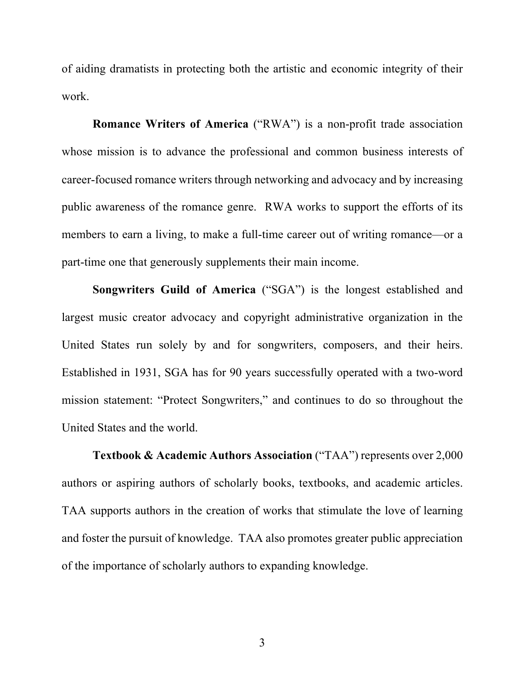of aiding dramatists in protecting both the artistic and economic integrity of their work.

**Romance Writers of America** ("RWA") is a non-profit trade association whose mission is to advance the professional and common business interests of career-focused romance writers through networking and advocacy and by increasing public awareness of the romance genre. RWA works to support the efforts of its members to earn a living, to make a full-time career out of writing romance—or a part-time one that generously supplements their main income.

**Songwriters Guild of America** ("SGA") is the longest established and largest music creator advocacy and copyright administrative organization in the United States run solely by and for songwriters, composers, and their heirs. Established in 1931, SGA has for 90 years successfully operated with a two-word mission statement: "Protect Songwriters," and continues to do so throughout the United States and the world.

**Textbook & Academic Authors Association** ("TAA") represents over 2,000 authors or aspiring authors of scholarly books, textbooks, and academic articles. TAA supports authors in the creation of works that stimulate the love of learning and foster the pursuit of knowledge. TAA also promotes greater public appreciation of the importance of scholarly authors to expanding knowledge.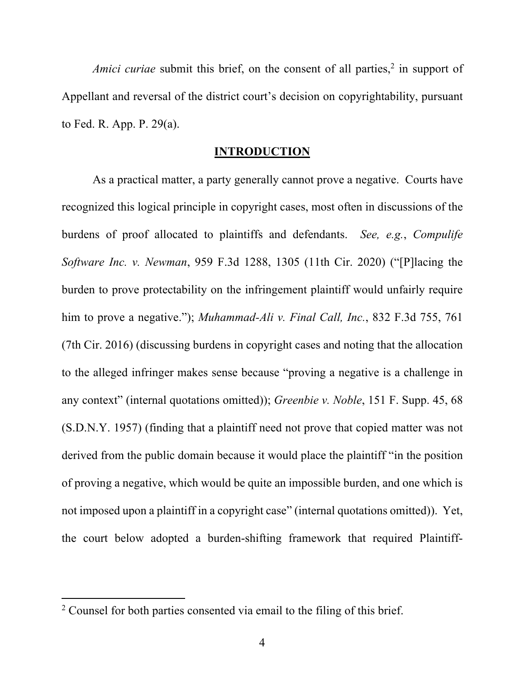*Amici curiae* submit this brief, on the consent of all parties,<sup>2</sup> in support of Appellant and reversal of the district court's decision on copyrightability, pursuant to Fed. R. App. P. 29(a).

### **INTRODUCTION**

As a practical matter, a party generally cannot prove a negative. Courts have recognized this logical principle in copyright cases, most often in discussions of the burdens of proof allocated to plaintiffs and defendants. *See, e.g.*, *Compulife Software Inc. v. Newman*, 959 F.3d 1288, 1305 (11th Cir. 2020) ("[P]lacing the burden to prove protectability on the infringement plaintiff would unfairly require him to prove a negative."); *Muhammad-Ali v. Final Call, Inc.*, 832 F.3d 755, 761 (7th Cir. 2016) (discussing burdens in copyright cases and noting that the allocation to the alleged infringer makes sense because "proving a negative is a challenge in any context" (internal quotations omitted)); *Greenbie v. Noble*, 151 F. Supp. 45, 68 (S.D.N.Y. 1957) (finding that a plaintiff need not prove that copied matter was not derived from the public domain because it would place the plaintiff "in the position of proving a negative, which would be quite an impossible burden, and one which is not imposed upon a plaintiff in a copyright case" (internal quotations omitted)). Yet, the court below adopted a burden-shifting framework that required Plaintiff-

 $2$  Counsel for both parties consented via email to the filing of this brief.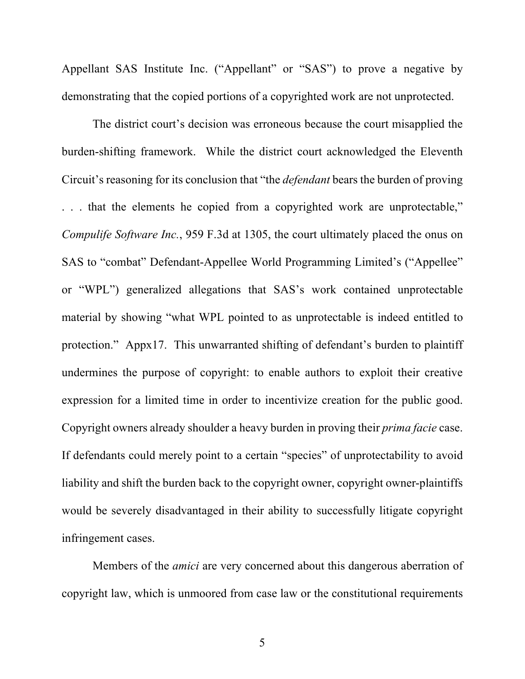Appellant SAS Institute Inc. ("Appellant" or "SAS") to prove a negative by demonstrating that the copied portions of a copyrighted work are not unprotected.

The district court's decision was erroneous because the court misapplied the burden-shifting framework. While the district court acknowledged the Eleventh Circuit's reasoning for its conclusion that "the *defendant* bears the burden of proving . . . that the elements he copied from a copyrighted work are unprotectable," *Compulife Software Inc.*, 959 F.3d at 1305, the court ultimately placed the onus on SAS to "combat" Defendant-Appellee World Programming Limited's ("Appellee" or "WPL") generalized allegations that SAS's work contained unprotectable material by showing "what WPL pointed to as unprotectable is indeed entitled to protection." Appx17. This unwarranted shifting of defendant's burden to plaintiff undermines the purpose of copyright: to enable authors to exploit their creative expression for a limited time in order to incentivize creation for the public good. Copyright owners already shoulder a heavy burden in proving their *prima facie* case. If defendants could merely point to a certain "species" of unprotectability to avoid liability and shift the burden back to the copyright owner, copyright owner-plaintiffs would be severely disadvantaged in their ability to successfully litigate copyright infringement cases.

Members of the *amici* are very concerned about this dangerous aberration of copyright law, which is unmoored from case law or the constitutional requirements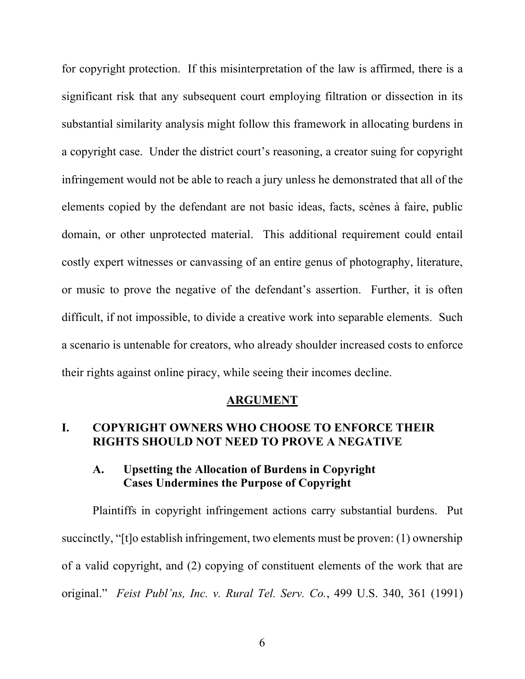for copyright protection. If this misinterpretation of the law is affirmed, there is a significant risk that any subsequent court employing filtration or dissection in its substantial similarity analysis might follow this framework in allocating burdens in a copyright case. Under the district court's reasoning, a creator suing for copyright infringement would not be able to reach a jury unless he demonstrated that all of the elements copied by the defendant are not basic ideas, facts, scènes à faire, public domain, or other unprotected material. This additional requirement could entail costly expert witnesses or canvassing of an entire genus of photography, literature, or music to prove the negative of the defendant's assertion. Further, it is often difficult, if not impossible, to divide a creative work into separable elements. Such a scenario is untenable for creators, who already shoulder increased costs to enforce their rights against online piracy, while seeing their incomes decline.

#### **ARGUMENT**

# **I. COPYRIGHT OWNERS WHO CHOOSE TO ENFORCE THEIR RIGHTS SHOULD NOT NEED TO PROVE A NEGATIVE**

### **A. Upsetting the Allocation of Burdens in Copyright Cases Undermines the Purpose of Copyright**

Plaintiffs in copyright infringement actions carry substantial burdens. Put succinctly, "[t]o establish infringement, two elements must be proven: (1) ownership of a valid copyright, and (2) copying of constituent elements of the work that are original." *Feist Publ'ns, Inc. v. Rural Tel. Serv. Co.*, 499 U.S. 340, 361 (1991)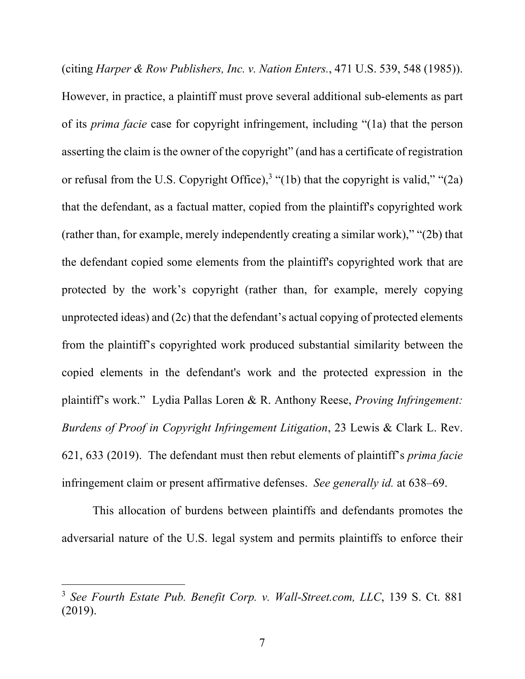(citing *Harper & Row Publishers, Inc. v. Nation Enters.*, 471 U.S. 539, 548 (1985)). However, in practice, a plaintiff must prove several additional sub-elements as part of its *prima facie* case for copyright infringement, including "(1a) that the person asserting the claim is the owner of the copyright" (and has a certificate of registration or refusal from the U.S. Copyright Office),<sup>3</sup> "(1b) that the copyright is valid," "(2a) that the defendant, as a factual matter, copied from the plaintiff's copyrighted work (rather than, for example, merely independently creating a similar work)," "(2b) that the defendant copied some elements from the plaintiff's copyrighted work that are protected by the work's copyright (rather than, for example, merely copying unprotected ideas) and (2c) that the defendant's actual copying of protected elements from the plaintiff's copyrighted work produced substantial similarity between the copied elements in the defendant's work and the protected expression in the plaintiff's work." Lydia Pallas Loren & R. Anthony Reese, *Proving Infringement: Burdens of Proof in Copyright Infringement Litigation*, 23 Lewis & Clark L. Rev. 621, 633 (2019). The defendant must then rebut elements of plaintiff's *prima facie* infringement claim or present affirmative defenses. *See generally id.* at 638–69.

This allocation of burdens between plaintiffs and defendants promotes the adversarial nature of the U.S. legal system and permits plaintiffs to enforce their

<sup>3</sup> *See Fourth Estate Pub. Benefit Corp. v. Wall-Street.com, LLC*, 139 S. Ct. 881 (2019).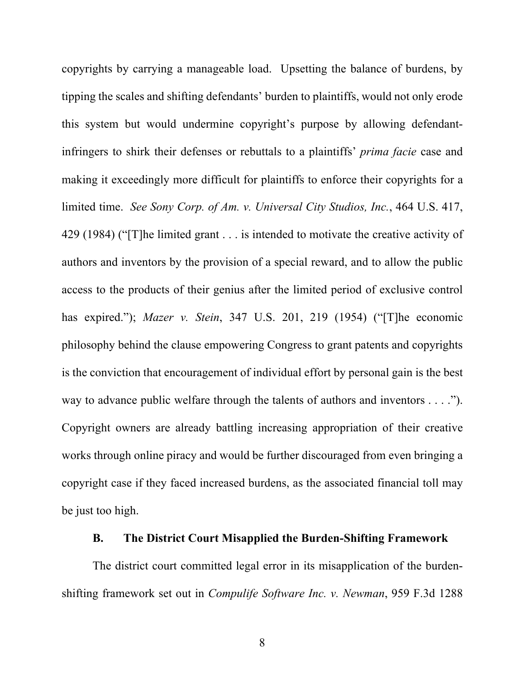copyrights by carrying a manageable load. Upsetting the balance of burdens, by tipping the scales and shifting defendants' burden to plaintiffs, would not only erode this system but would undermine copyright's purpose by allowing defendantinfringers to shirk their defenses or rebuttals to a plaintiffs' *prima facie* case and making it exceedingly more difficult for plaintiffs to enforce their copyrights for a limited time. *See Sony Corp. of Am. v. Universal City Studios, Inc.*, 464 U.S. 417, 429 (1984) ("[T]he limited grant . . . is intended to motivate the creative activity of authors and inventors by the provision of a special reward, and to allow the public access to the products of their genius after the limited period of exclusive control has expired."); *Mazer v. Stein*, 347 U.S. 201, 219 (1954) ("[T]he economic philosophy behind the clause empowering Congress to grant patents and copyrights is the conviction that encouragement of individual effort by personal gain is the best way to advance public welfare through the talents of authors and inventors . . . ."). Copyright owners are already battling increasing appropriation of their creative works through online piracy and would be further discouraged from even bringing a copyright case if they faced increased burdens, as the associated financial toll may be just too high.

### **B. The District Court Misapplied the Burden-Shifting Framework**

The district court committed legal error in its misapplication of the burdenshifting framework set out in *Compulife Software Inc. v. Newman*, 959 F.3d 1288

8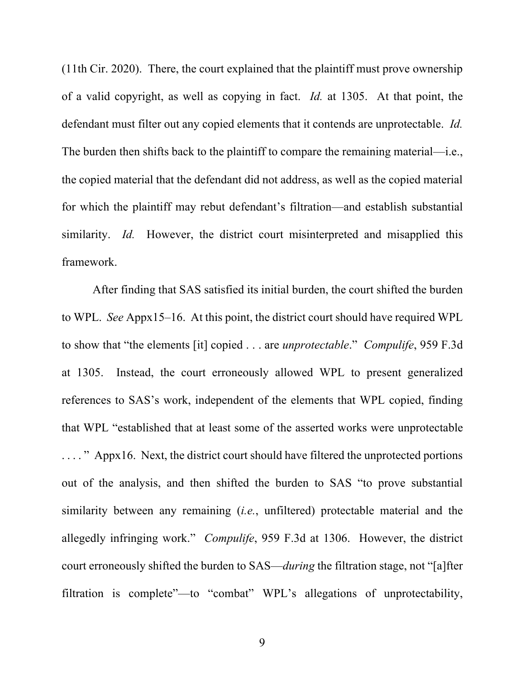(11th Cir. 2020). There, the court explained that the plaintiff must prove ownership of a valid copyright, as well as copying in fact. *Id.* at 1305. At that point, the defendant must filter out any copied elements that it contends are unprotectable. *Id.* The burden then shifts back to the plaintiff to compare the remaining material—i.e., the copied material that the defendant did not address, as well as the copied material for which the plaintiff may rebut defendant's filtration—and establish substantial similarity. *Id.* However, the district court misinterpreted and misapplied this framework.

After finding that SAS satisfied its initial burden, the court shifted the burden to WPL. *See* Appx15–16. At this point, the district court should have required WPL to show that "the elements [it] copied . . . are *unprotectable*." *Compulife*, 959 F.3d at 1305. Instead, the court erroneously allowed WPL to present generalized references to SAS's work, independent of the elements that WPL copied, finding that WPL "established that at least some of the asserted works were unprotectable . . . . " Appx16. Next, the district court should have filtered the unprotected portions out of the analysis, and then shifted the burden to SAS "to prove substantial similarity between any remaining (*i.e.*, unfiltered) protectable material and the allegedly infringing work." *Compulife*, 959 F.3d at 1306. However, the district court erroneously shifted the burden to SAS—*during* the filtration stage, not "[a]fter filtration is complete"—to "combat" WPL's allegations of unprotectability,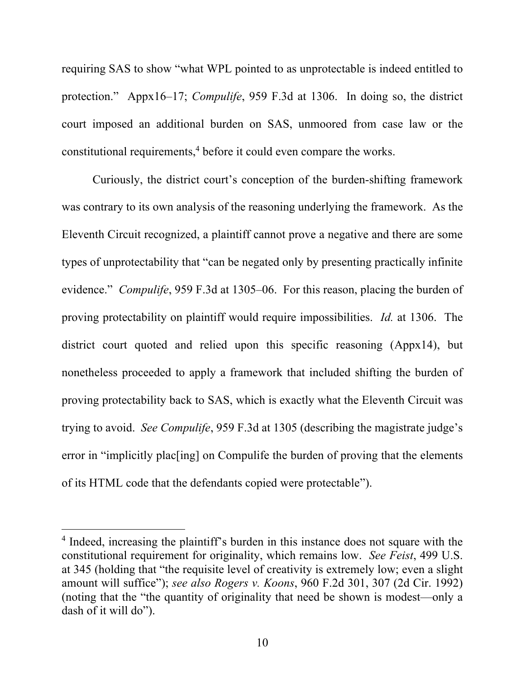requiring SAS to show "what WPL pointed to as unprotectable is indeed entitled to protection." Appx16–17; *Compulife*, 959 F.3d at 1306. In doing so, the district court imposed an additional burden on SAS, unmoored from case law or the constitutional requirements,<sup>4</sup> before it could even compare the works.

Curiously, the district court's conception of the burden-shifting framework was contrary to its own analysis of the reasoning underlying the framework. As the Eleventh Circuit recognized, a plaintiff cannot prove a negative and there are some types of unprotectability that "can be negated only by presenting practically infinite evidence." *Compulife*, 959 F.3d at 1305–06. For this reason, placing the burden of proving protectability on plaintiff would require impossibilities. *Id.* at 1306. The district court quoted and relied upon this specific reasoning (Appx14), but nonetheless proceeded to apply a framework that included shifting the burden of proving protectability back to SAS, which is exactly what the Eleventh Circuit was trying to avoid. *See Compulife*, 959 F.3d at 1305 (describing the magistrate judge's error in "implicitly plac[ing] on Compulife the burden of proving that the elements of its HTML code that the defendants copied were protectable").

<sup>&</sup>lt;sup>4</sup> Indeed, increasing the plaintiff's burden in this instance does not square with the constitutional requirement for originality, which remains low. *See Feist*, 499 U.S. at 345 (holding that "the requisite level of creativity is extremely low; even a slight amount will suffice"); *see also Rogers v. Koons*, 960 F.2d 301, 307 (2d Cir. 1992) (noting that the "the quantity of originality that need be shown is modest—only a dash of it will do").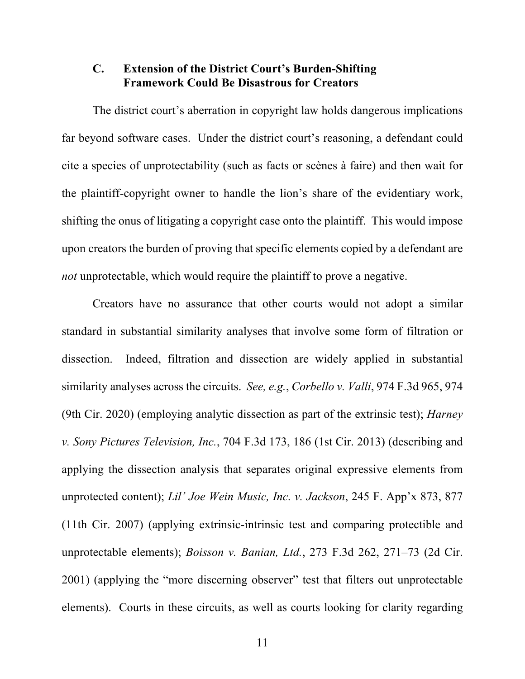# **C. Extension of the District Court's Burden-Shifting Framework Could Be Disastrous for Creators**

The district court's aberration in copyright law holds dangerous implications far beyond software cases. Under the district court's reasoning, a defendant could cite a species of unprotectability (such as facts or scènes à faire) and then wait for the plaintiff-copyright owner to handle the lion's share of the evidentiary work, shifting the onus of litigating a copyright case onto the plaintiff. This would impose upon creators the burden of proving that specific elements copied by a defendant are *not* unprotectable, which would require the plaintiff to prove a negative.

Creators have no assurance that other courts would not adopt a similar standard in substantial similarity analyses that involve some form of filtration or dissection. Indeed, filtration and dissection are widely applied in substantial similarity analyses across the circuits. *See, e.g.*, *Corbello v. Valli*, 974 F.3d 965, 974 (9th Cir. 2020) (employing analytic dissection as part of the extrinsic test); *Harney v. Sony Pictures Television, Inc.*, 704 F.3d 173, 186 (1st Cir. 2013) (describing and applying the dissection analysis that separates original expressive elements from unprotected content); *Lil' Joe Wein Music, Inc. v. Jackson*, 245 F. App'x 873, 877 (11th Cir. 2007) (applying extrinsic-intrinsic test and comparing protectible and unprotectable elements); *Boisson v. Banian, Ltd.*, 273 F.3d 262, 271–73 (2d Cir. 2001) (applying the "more discerning observer" test that filters out unprotectable elements). Courts in these circuits, as well as courts looking for clarity regarding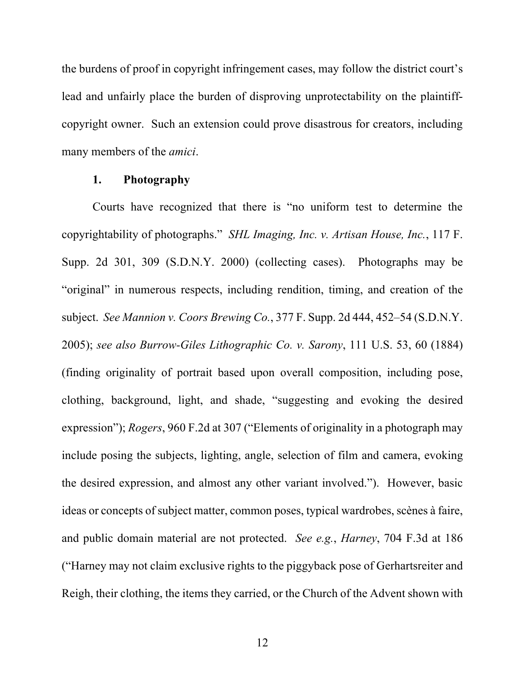the burdens of proof in copyright infringement cases, may follow the district court's lead and unfairly place the burden of disproving unprotectability on the plaintiffcopyright owner. Such an extension could prove disastrous for creators, including many members of the *amici*.

#### **1. Photography**

Courts have recognized that there is "no uniform test to determine the copyrightability of photographs." *SHL Imaging, Inc. v. Artisan House, Inc.*, 117 F. Supp. 2d 301, 309 (S.D.N.Y. 2000) (collecting cases). Photographs may be "original" in numerous respects, including rendition, timing, and creation of the subject. *See Mannion v. Coors Brewing Co.*, 377 F. Supp. 2d 444, 452–54 (S.D.N.Y. 2005); *see also Burrow-Giles Lithographic Co. v. Sarony*, 111 U.S. 53, 60 (1884) (finding originality of portrait based upon overall composition, including pose, clothing, background, light, and shade, "suggesting and evoking the desired expression"); *Rogers*, 960 F.2d at 307 ("Elements of originality in a photograph may include posing the subjects, lighting, angle, selection of film and camera, evoking the desired expression, and almost any other variant involved."). However, basic ideas or concepts of subject matter, common poses, typical wardrobes, scènes à faire, and public domain material are not protected. *See e.g.*, *Harney*, 704 F.3d at 186 ("Harney may not claim exclusive rights to the piggyback pose of Gerhartsreiter and Reigh, their clothing, the items they carried, or the Church of the Advent shown with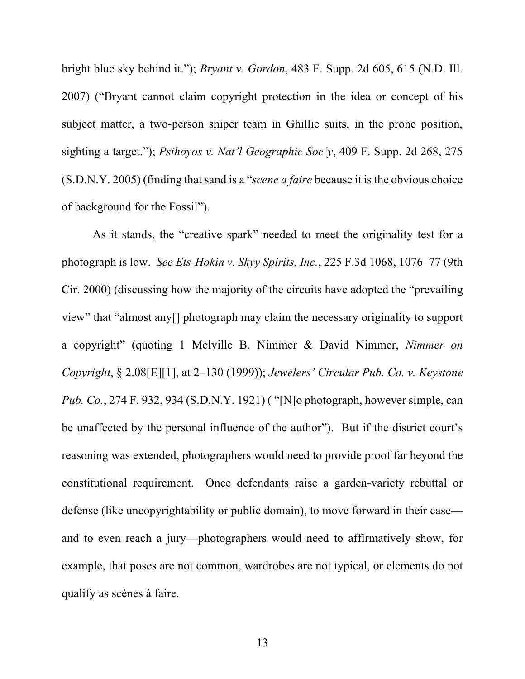bright blue sky behind it."); *Bryant v. Gordon*, 483 F. Supp. 2d 605, 615 (N.D. Ill. 2007) ("Bryant cannot claim copyright protection in the idea or concept of his subject matter, a two-person sniper team in Ghillie suits, in the prone position, sighting a target."); *Psihoyos v. Nat'l Geographic Soc'y*, 409 F. Supp. 2d 268, 275 (S.D.N.Y. 2005) (finding that sand is a "*scene a faire* because it is the obvious choice of background for the Fossil").

As it stands, the "creative spark" needed to meet the originality test for a photograph is low. *See Ets-Hokin v. Skyy Spirits, Inc.*, 225 F.3d 1068, 1076–77 (9th Cir. 2000) (discussing how the majority of the circuits have adopted the "prevailing view" that "almost any[] photograph may claim the necessary originality to support a copyright" (quoting 1 Melville B. Nimmer & David Nimmer, *Nimmer on Copyright*, § 2.08[E][1], at 2–130 (1999)); *Jewelers' Circular Pub. Co. v. Keystone Pub. Co.*, 274 F. 932, 934 (S.D.N.Y. 1921) ( "[N]o photograph, however simple, can be unaffected by the personal influence of the author"). But if the district court's reasoning was extended, photographers would need to provide proof far beyond the constitutional requirement. Once defendants raise a garden-variety rebuttal or defense (like uncopyrightability or public domain), to move forward in their case and to even reach a jury—photographers would need to affirmatively show, for example, that poses are not common, wardrobes are not typical, or elements do not qualify as scènes à faire.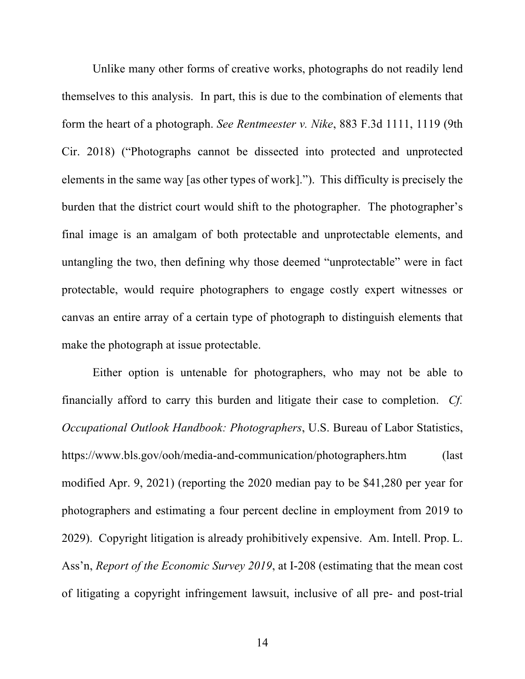Unlike many other forms of creative works, photographs do not readily lend themselves to this analysis. In part, this is due to the combination of elements that form the heart of a photograph. *See Rentmeester v. Nike*, 883 F.3d 1111, 1119 (9th Cir. 2018) ("Photographs cannot be dissected into protected and unprotected elements in the same way [as other types of work]."). This difficulty is precisely the burden that the district court would shift to the photographer. The photographer's final image is an amalgam of both protectable and unprotectable elements, and untangling the two, then defining why those deemed "unprotectable" were in fact protectable, would require photographers to engage costly expert witnesses or canvas an entire array of a certain type of photograph to distinguish elements that make the photograph at issue protectable.

Either option is untenable for photographers, who may not be able to financially afford to carry this burden and litigate their case to completion. *Cf. Occupational Outlook Handbook: Photographers*, U.S. Bureau of Labor Statistics, https://www.bls.gov/ooh/media-and-communication/photographers.htm (last modified Apr. 9, 2021) (reporting the 2020 median pay to be \$41,280 per year for photographers and estimating a four percent decline in employment from 2019 to 2029). Copyright litigation is already prohibitively expensive. Am. Intell. Prop. L. Ass'n, *Report of the Economic Survey 2019*, at I-208 (estimating that the mean cost of litigating a copyright infringement lawsuit, inclusive of all pre- and post-trial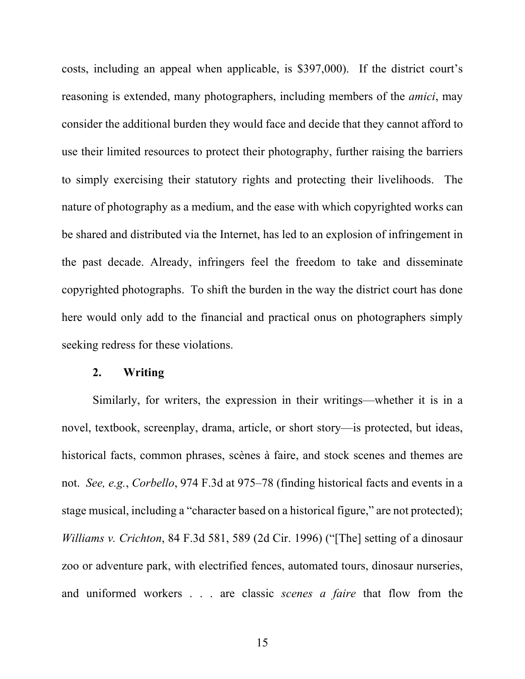costs, including an appeal when applicable, is \$397,000). If the district court's reasoning is extended, many photographers, including members of the *amici*, may consider the additional burden they would face and decide that they cannot afford to use their limited resources to protect their photography, further raising the barriers to simply exercising their statutory rights and protecting their livelihoods. The nature of photography as a medium, and the ease with which copyrighted works can be shared and distributed via the Internet, has led to an explosion of infringement in the past decade. Already, infringers feel the freedom to take and disseminate copyrighted photographs. To shift the burden in the way the district court has done here would only add to the financial and practical onus on photographers simply seeking redress for these violations.

#### **2. Writing**

Similarly, for writers, the expression in their writings—whether it is in a novel, textbook, screenplay, drama, article, or short story—is protected, but ideas, historical facts, common phrases, scènes à faire, and stock scenes and themes are not. *See, e.g.*, *Corbello*, 974 F.3d at 975–78 (finding historical facts and events in a stage musical, including a "character based on a historical figure," are not protected); *Williams v. Crichton*, 84 F.3d 581, 589 (2d Cir. 1996) ("[The] setting of a dinosaur zoo or adventure park, with electrified fences, automated tours, dinosaur nurseries, and uniformed workers . . . are classic *scenes a faire* that flow from the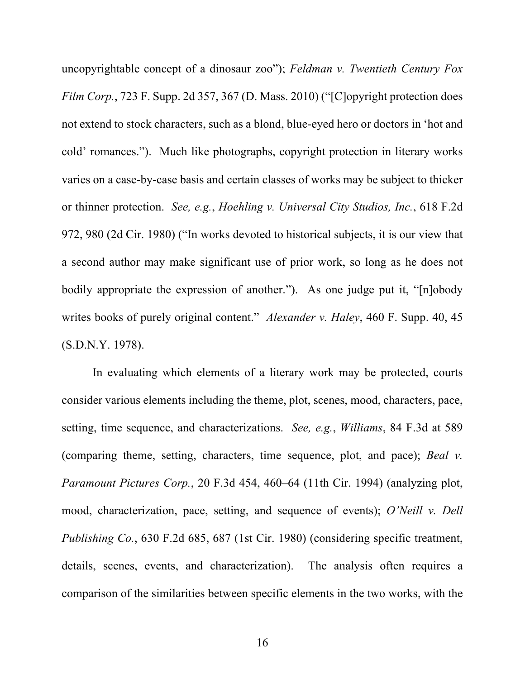uncopyrightable concept of a dinosaur zoo"); *Feldman v. Twentieth Century Fox Film Corp.*, 723 F. Supp. 2d 357, 367 (D. Mass. 2010) ("[C]opyright protection does not extend to stock characters, such as a blond, blue-eyed hero or doctors in 'hot and cold' romances."). Much like photographs, copyright protection in literary works varies on a case-by-case basis and certain classes of works may be subject to thicker or thinner protection. *See, e.g.*, *Hoehling v. Universal City Studios, Inc.*, 618 F.2d 972, 980 (2d Cir. 1980) ("In works devoted to historical subjects, it is our view that a second author may make significant use of prior work, so long as he does not bodily appropriate the expression of another."). As one judge put it, "[n]obody writes books of purely original content." *Alexander v. Haley*, 460 F. Supp. 40, 45 (S.D.N.Y. 1978).

In evaluating which elements of a literary work may be protected, courts consider various elements including the theme, plot, scenes, mood, characters, pace, setting, time sequence, and characterizations. *See, e.g.*, *Williams*, 84 F.3d at 589 (comparing theme, setting, characters, time sequence, plot, and pace); *Beal v. Paramount Pictures Corp.*, 20 F.3d 454, 460–64 (11th Cir. 1994) (analyzing plot, mood, characterization, pace, setting, and sequence of events); *O'Neill v. Dell Publishing Co.*, 630 F.2d 685, 687 (1st Cir. 1980) (considering specific treatment, details, scenes, events, and characterization). The analysis often requires a comparison of the similarities between specific elements in the two works, with the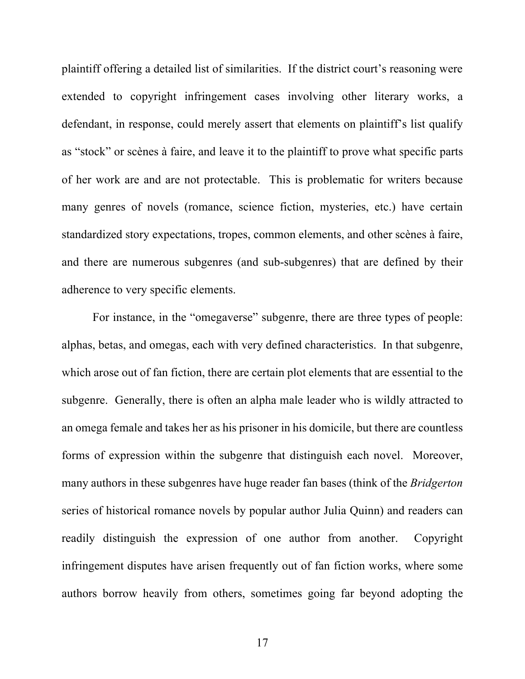plaintiff offering a detailed list of similarities. If the district court's reasoning were extended to copyright infringement cases involving other literary works, a defendant, in response, could merely assert that elements on plaintiff's list qualify as "stock" or scènes à faire, and leave it to the plaintiff to prove what specific parts of her work are and are not protectable. This is problematic for writers because many genres of novels (romance, science fiction, mysteries, etc.) have certain standardized story expectations, tropes, common elements, and other scènes à faire, and there are numerous subgenres (and sub-subgenres) that are defined by their adherence to very specific elements.

For instance, in the "omegaverse" subgenre, there are three types of people: alphas, betas, and omegas, each with very defined characteristics. In that subgenre, which arose out of fan fiction, there are certain plot elements that are essential to the subgenre. Generally, there is often an alpha male leader who is wildly attracted to an omega female and takes her as his prisoner in his domicile, but there are countless forms of expression within the subgenre that distinguish each novel. Moreover, many authors in these subgenres have huge reader fan bases (think of the *Bridgerton* series of historical romance novels by popular author Julia Quinn) and readers can readily distinguish the expression of one author from another. Copyright infringement disputes have arisen frequently out of fan fiction works, where some authors borrow heavily from others, sometimes going far beyond adopting the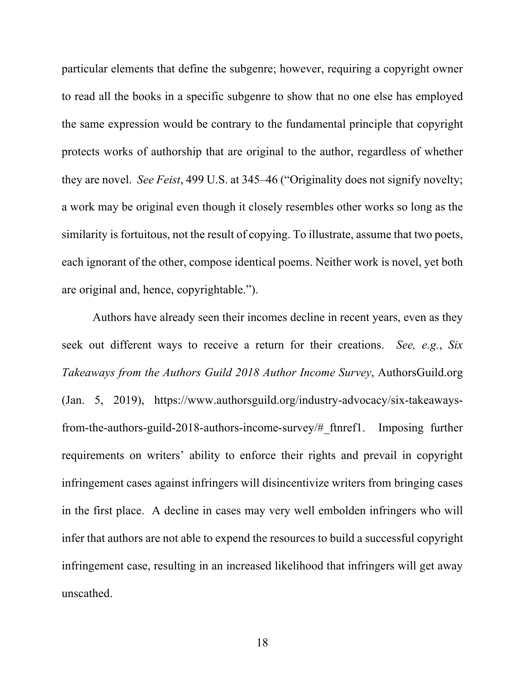particular elements that define the subgenre; however, requiring a copyright owner to read all the books in a specific subgenre to show that no one else has employed the same expression would be contrary to the fundamental principle that copyright protects works of authorship that are original to the author, regardless of whether they are novel. *See Feist*, 499 U.S. at 345–46 ("Originality does not signify novelty; a work may be original even though it closely resembles other works so long as the similarity is fortuitous, not the result of copying. To illustrate, assume that two poets, each ignorant of the other, compose identical poems. Neither work is novel, yet both are original and, hence, copyrightable.").

Authors have already seen their incomes decline in recent years, even as they seek out different ways to receive a return for their creations. *See, e.g.*, *Six Takeaways from the Authors Guild 2018 Author Income Survey*, AuthorsGuild.org (Jan. 5, 2019), https://www.authorsguild.org/industry-advocacy/six-takeawaysfrom-the-authors-guild-2018-authors-income-survey/#\_ftnref1. Imposing further requirements on writers' ability to enforce their rights and prevail in copyright infringement cases against infringers will disincentivize writers from bringing cases in the first place. A decline in cases may very well embolden infringers who will infer that authors are not able to expend the resources to build a successful copyright infringement case, resulting in an increased likelihood that infringers will get away unscathed.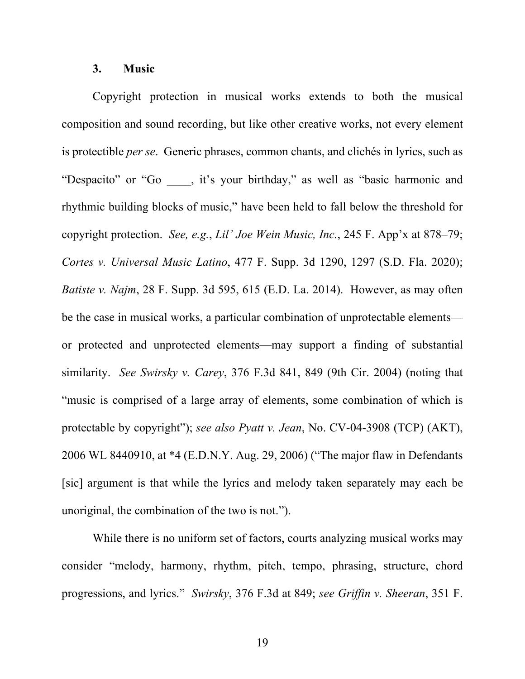#### **3. Music**

Copyright protection in musical works extends to both the musical composition and sound recording, but like other creative works, not every element is protectible *per se*. Generic phrases, common chants, and clichés in lyrics, such as "Despacito" or "Go \_\_\_, it's your birthday," as well as "basic harmonic and rhythmic building blocks of music," have been held to fall below the threshold for copyright protection. *See, e.g.*, *Lil' Joe Wein Music, Inc.*, 245 F. App'x at 878–79; *Cortes v. Universal Music Latino*, 477 F. Supp. 3d 1290, 1297 (S.D. Fla. 2020); *Batiste v. Najm*, 28 F. Supp. 3d 595, 615 (E.D. La. 2014). However, as may often be the case in musical works, a particular combination of unprotectable elements or protected and unprotected elements—may support a finding of substantial similarity. *See Swirsky v. Carey*, 376 F.3d 841, 849 (9th Cir. 2004) (noting that "music is comprised of a large array of elements, some combination of which is protectable by copyright"); *see also Pyatt v. Jean*, No. CV-04-3908 (TCP) (AKT), 2006 WL 8440910, at \*4 (E.D.N.Y. Aug. 29, 2006) ("The major flaw in Defendants [sic] argument is that while the lyrics and melody taken separately may each be unoriginal, the combination of the two is not.").

While there is no uniform set of factors, courts analyzing musical works may consider "melody, harmony, rhythm, pitch, tempo, phrasing, structure, chord progressions, and lyrics." *Swirsky*, 376 F.3d at 849; *see Griffin v. Sheeran*, 351 F.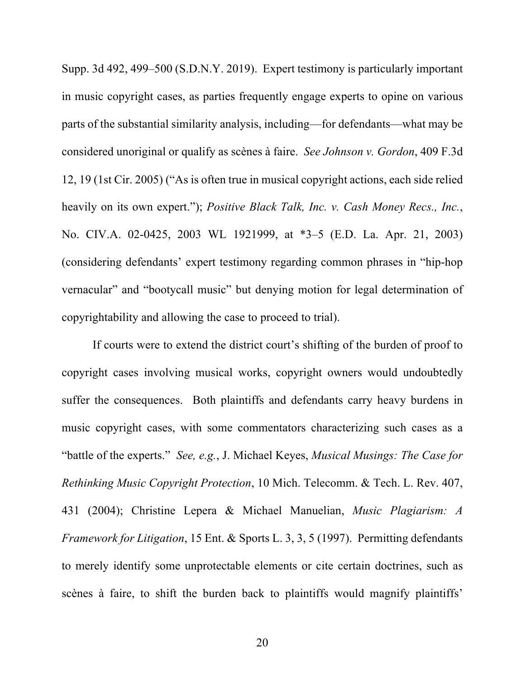Supp. 3d 492, 499–500 (S.D.N.Y. 2019). Expert testimony is particularly important in music copyright cases, as parties frequently engage experts to opine on various parts of the substantial similarity analysis, including—for defendants—what may be considered unoriginal or qualify as scènes à faire. *See Johnson v. Gordon*, 409 F.3d 12, 19 (1st Cir. 2005) ("As is often true in musical copyright actions, each side relied heavily on its own expert."); *Positive Black Talk, Inc. v. Cash Money Recs., Inc.*, No. CIV.A. 02-0425, 2003 WL 1921999, at \*3–5 (E.D. La. Apr. 21, 2003) (considering defendants' expert testimony regarding common phrases in "hip-hop vernacular" and "bootycall music" but denying motion for legal determination of copyrightability and allowing the case to proceed to trial).

If courts were to extend the district court's shifting of the burden of proof to copyright cases involving musical works, copyright owners would undoubtedly suffer the consequences. Both plaintiffs and defendants carry heavy burdens in music copyright cases, with some commentators characterizing such cases as a "battle of the experts." *See, e.g.*, J. Michael Keyes, *Musical Musings: The Case for Rethinking Music Copyright Protection*, 10 Mich. Telecomm. & Tech. L. Rev. 407, 431 (2004); Christine Lepera & Michael Manuelian, *Music Plagiarism: A Framework for Litigation*, 15 Ent. & Sports L. 3, 3, 5 (1997). Permitting defendants to merely identify some unprotectable elements or cite certain doctrines, such as scènes à faire, to shift the burden back to plaintiffs would magnify plaintiffs'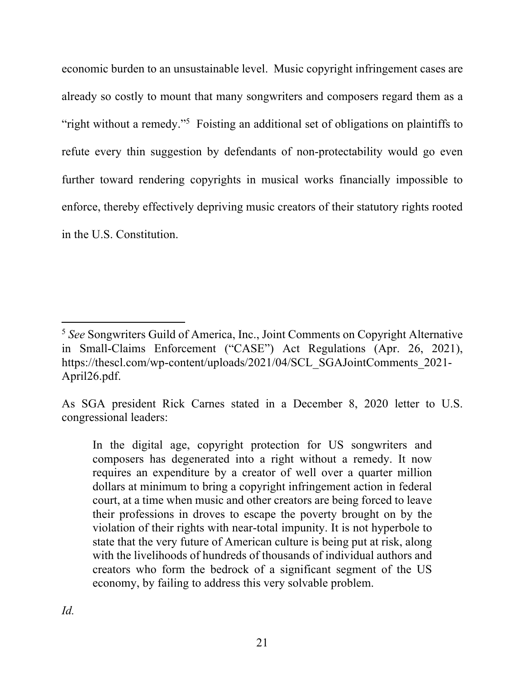economic burden to an unsustainable level. Music copyright infringement cases are already so costly to mount that many songwriters and composers regard them as a "right without a remedy."<sup>5</sup> Foisting an additional set of obligations on plaintiffs to refute every thin suggestion by defendants of non-protectability would go even further toward rendering copyrights in musical works financially impossible to enforce, thereby effectively depriving music creators of their statutory rights rooted in the U.S. Constitution.

<sup>5</sup> *See* Songwriters Guild of America, Inc., Joint Comments on Copyright Alternative in Small-Claims Enforcement ("CASE") Act Regulations (Apr. 26, 2021), https://thescl.com/wp-content/uploads/2021/04/SCL\_SGAJointComments\_2021- April26.pdf.

As SGA president Rick Carnes stated in a December 8, 2020 letter to U.S. congressional leaders:

In the digital age, copyright protection for US songwriters and composers has degenerated into a right without a remedy. It now requires an expenditure by a creator of well over a quarter million dollars at minimum to bring a copyright infringement action in federal court, at a time when music and other creators are being forced to leave their professions in droves to escape the poverty brought on by the violation of their rights with near-total impunity. It is not hyperbole to state that the very future of American culture is being put at risk, along with the livelihoods of hundreds of thousands of individual authors and creators who form the bedrock of a significant segment of the US economy, by failing to address this very solvable problem.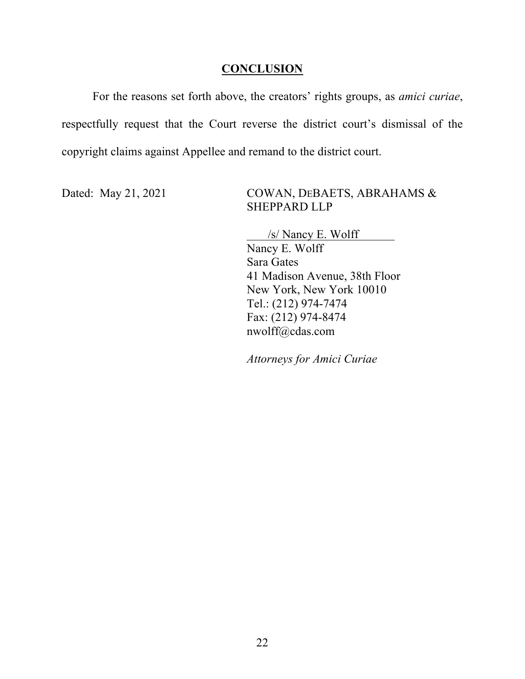### **CONCLUSION**

For the reasons set forth above, the creators' rights groups, as *amici curiae*, respectfully request that the Court reverse the district court's dismissal of the copyright claims against Appellee and remand to the district court.

Dated: May 21, 2021 COWAN, DEBAETS, ABRAHAMS & SHEPPARD LLP

> /s/ Nancy E. Wolff Nancy E. Wolff Sara Gates 41 Madison Avenue, 38th Floor New York, New York 10010 Tel.: (212) 974-7474 Fax: (212) 974-8474 nwolff@cdas.com

*Attorneys for Amici Curiae*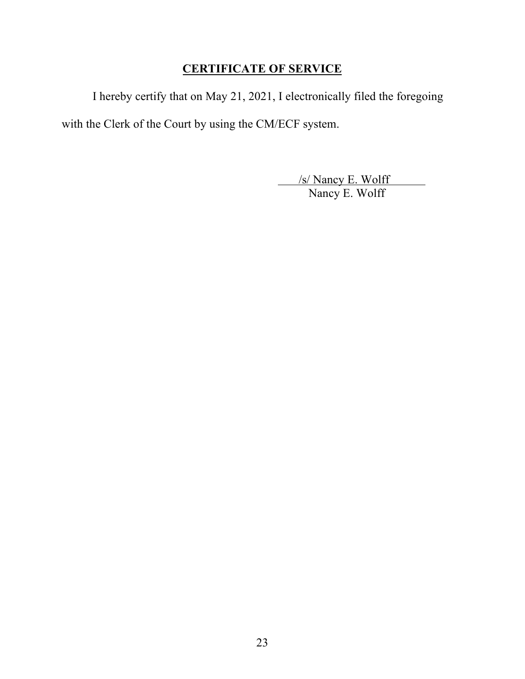# **CERTIFICATE OF SERVICE**

I hereby certify that on May 21, 2021, I electronically filed the foregoing with the Clerk of the Court by using the CM/ECF system.

> /s/ Nancy E. Wolff Nancy E. Wolff